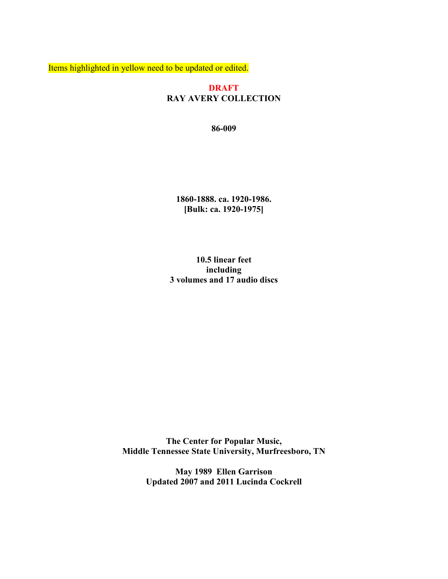Items highlighted in yellow need to be updated or edited.

#### **DRAFT RAY AVERY COLLECTION**

**86-009**

**1860-1888. ca. 1920-1986. [Bulk: ca. 1920-1975]**

**10.5 linear feet including 3 volumes and 17 audio discs**

**The Center for Popular Music, Middle Tennessee State University, Murfreesboro, TN**

> **May 1989 Ellen Garrison Updated 2007 and 2011 Lucinda Cockrell**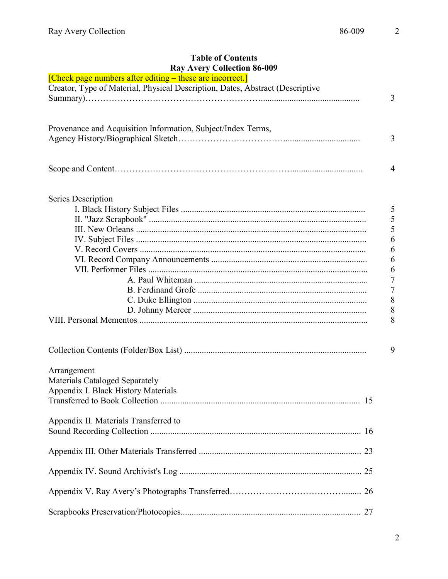### **Table of Contents Ray Avery Collection 86-009**

| <b>RAY AVELY COHECHON 80-009</b>                                              |
|-------------------------------------------------------------------------------|
| [Check page numbers after editing – these are incorrect.]                     |
| Creator, Type of Material, Physical Description, Dates, Abstract (Descriptive |
| 3                                                                             |
|                                                                               |
|                                                                               |
| Provenance and Acquisition Information, Subject/Index Terms,                  |
| $\overline{3}$                                                                |
|                                                                               |
|                                                                               |
| $\overline{4}$                                                                |
|                                                                               |
|                                                                               |
| Series Description                                                            |
| 5                                                                             |
| 5                                                                             |
| 5                                                                             |
| 6                                                                             |
| 6                                                                             |
| 6                                                                             |
| 6                                                                             |
|                                                                               |
| 7                                                                             |
| $\overline{7}$                                                                |
| 8                                                                             |
| 8                                                                             |
| 8                                                                             |
|                                                                               |
| 9                                                                             |
|                                                                               |
| Arrangement                                                                   |
| Materials Cataloged Separately                                                |
| Appendix I. Black History Materials                                           |
|                                                                               |
|                                                                               |
| Appendix II. Materials Transferred to                                         |
|                                                                               |
|                                                                               |
|                                                                               |
|                                                                               |
|                                                                               |
|                                                                               |
|                                                                               |
|                                                                               |
|                                                                               |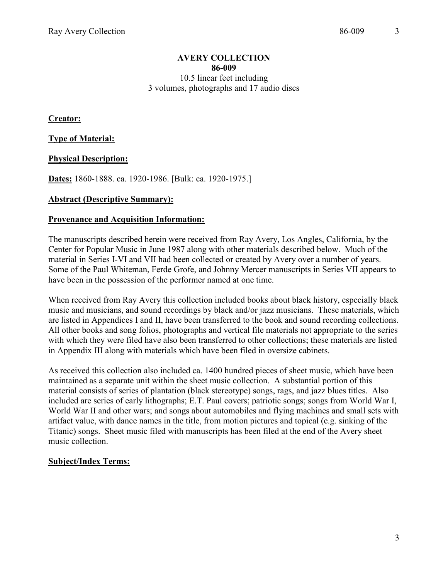#### **AVERY COLLECTION 86-009** 10.5 linear feet including 3 volumes, photographs and 17 audio discs

**Creator:**

**Type of Material:**

**Physical Description:**

**Dates:** 1860-1888. ca. 1920-1986. [Bulk: ca. 1920-1975.]

#### **Abstract (Descriptive Summary):**

#### **Provenance and Acquisition Information:**

The manuscripts described herein were received from Ray Avery, Los Angles, California, by the Center for Popular Music in June 1987 along with other materials described below. Much of the material in Series I-VI and VII had been collected or created by Avery over a number of years. Some of the Paul Whiteman, Ferde Grofe, and Johnny Mercer manuscripts in Series VII appears to have been in the possession of the performer named at one time.

When received from Ray Avery this collection included books about black history, especially black music and musicians, and sound recordings by black and/or jazz musicians. These materials, which are listed in Appendices I and II, have been transferred to the book and sound recording collections. All other books and song folios, photographs and vertical file materials not appropriate to the series with which they were filed have also been transferred to other collections; these materials are listed in Appendix III along with materials which have been filed in oversize cabinets.

As received this collection also included ca. 1400 hundred pieces of sheet music, which have been maintained as a separate unit within the sheet music collection. A substantial portion of this material consists of series of plantation (black stereotype) songs, rags, and jazz blues titles. Also included are series of early lithographs; E.T. Paul covers; patriotic songs; songs from World War I, World War II and other wars; and songs about automobiles and flying machines and small sets with artifact value, with dance names in the title, from motion pictures and topical (e.g. sinking of the Titanic) songs. Sheet music filed with manuscripts has been filed at the end of the Avery sheet music collection.

#### **Subject/Index Terms:**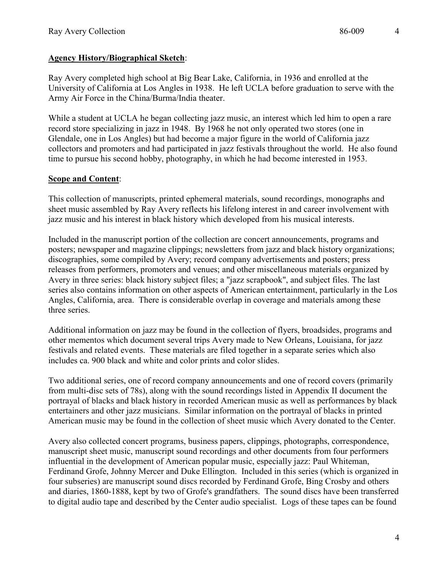# **Agency History/Biographical Sketch**:

Ray Avery completed high school at Big Bear Lake, California, in 1936 and enrolled at the University of California at Los Angles in 1938. He left UCLA before graduation to serve with the Army Air Force in the China/Burma/India theater.

While a student at UCLA he began collecting jazz music, an interest which led him to open a rare record store specializing in jazz in 1948. By 1968 he not only operated two stores (one in Glendale, one in Los Angles) but had become a major figure in the world of California jazz collectors and promoters and had participated in jazz festivals throughout the world. He also found time to pursue his second hobby, photography, in which he had become interested in 1953.

# **Scope and Content**:

This collection of manuscripts, printed ephemeral materials, sound recordings, monographs and sheet music assembled by Ray Avery reflects his lifelong interest in and career involvement with jazz music and his interest in black history which developed from his musical interests.

Included in the manuscript portion of the collection are concert announcements, programs and posters; newspaper and magazine clippings; newsletters from jazz and black history organizations; discographies, some compiled by Avery; record company advertisements and posters; press releases from performers, promoters and venues; and other miscellaneous materials organized by Avery in three series: black history subject files; a "jazz scrapbook", and subject files. The last series also contains information on other aspects of American entertainment, particularly in the Los Angles, California, area. There is considerable overlap in coverage and materials among these three series.

Additional information on jazz may be found in the collection of flyers, broadsides, programs and other mementos which document several trips Avery made to New Orleans, Louisiana, for jazz festivals and related events. These materials are filed together in a separate series which also includes ca. 900 black and white and color prints and color slides.

Two additional series, one of record company announcements and one of record covers (primarily from multi-disc sets of 78s), along with the sound recordings listed in Appendix II document the portrayal of blacks and black history in recorded American music as well as performances by black entertainers and other jazz musicians. Similar information on the portrayal of blacks in printed American music may be found in the collection of sheet music which Avery donated to the Center.

Avery also collected concert programs, business papers, clippings, photographs, correspondence, manuscript sheet music, manuscript sound recordings and other documents from four performers influential in the development of American popular music, especially jazz: Paul Whiteman, Ferdinand Grofe, Johnny Mercer and Duke Ellington. Included in this series (which is organized in four subseries) are manuscript sound discs recorded by Ferdinand Grofe, Bing Crosby and others and diaries, 1860-1888, kept by two of Grofe's grandfathers. The sound discs have been transferred to digital audio tape and described by the Center audio specialist. Logs of these tapes can be found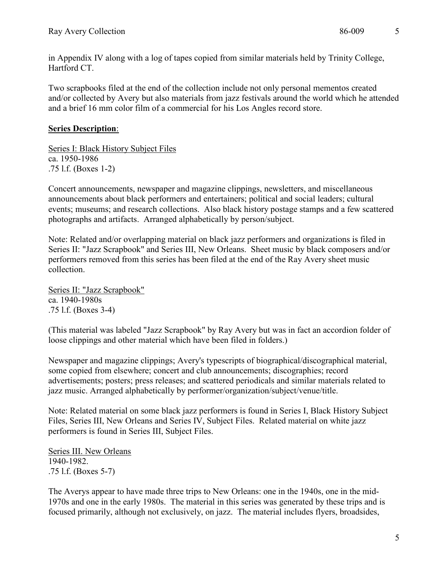in Appendix IV along with a log of tapes copied from similar materials held by Trinity College, Hartford CT.

Two scrapbooks filed at the end of the collection include not only personal mementos created and/or collected by Avery but also materials from jazz festivals around the world which he attended and a brief 16 mm color film of a commercial for his Los Angles record store.

# **Series Description**:

Series I: Black History Subject Files ca. 1950-1986 .75 l.f. (Boxes 1-2)

Concert announcements, newspaper and magazine clippings, newsletters, and miscellaneous announcements about black performers and entertainers; political and social leaders; cultural events; museums; and research collections. Also black history postage stamps and a few scattered photographs and artifacts. Arranged alphabetically by person/subject.

Note: Related and/or overlapping material on black jazz performers and organizations is filed in Series II: "Jazz Scrapbook" and Series III, New Orleans. Sheet music by black composers and/or performers removed from this series has been filed at the end of the Ray Avery sheet music collection.

Series II: "Jazz Scrapbook" ca. 1940-1980s .75 l.f. (Boxes 3-4)

(This material was labeled "Jazz Scrapbook" by Ray Avery but was in fact an accordion folder of loose clippings and other material which have been filed in folders.)

Newspaper and magazine clippings; Avery's typescripts of biographical/discographical material, some copied from elsewhere; concert and club announcements; discographies; record advertisements; posters; press releases; and scattered periodicals and similar materials related to jazz music. Arranged alphabetically by performer/organization/subject/venue/title.

Note: Related material on some black jazz performers is found in Series I, Black History Subject Files, Series III, New Orleans and Series IV, Subject Files. Related material on white jazz performers is found in Series III, Subject Files.

Series III. New Orleans 1940-1982. .75 l.f. (Boxes 5-7)

The Averys appear to have made three trips to New Orleans: one in the 1940s, one in the mid-1970s and one in the early 1980s. The material in this series was generated by these trips and is focused primarily, although not exclusively, on jazz. The material includes flyers, broadsides,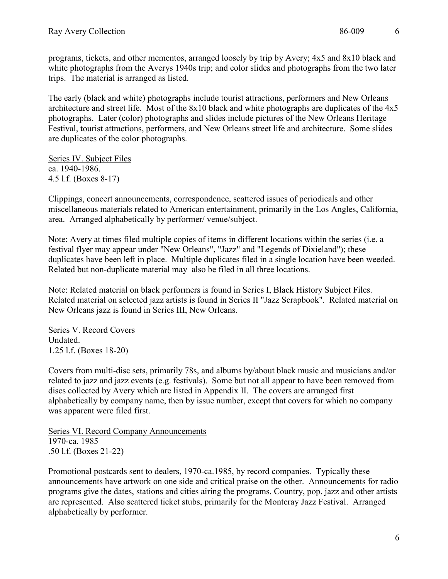programs, tickets, and other mementos, arranged loosely by trip by Avery; 4x5 and 8x10 black and white photographs from the Averys 1940s trip; and color slides and photographs from the two later trips. The material is arranged as listed.

The early (black and white) photographs include tourist attractions, performers and New Orleans architecture and street life. Most of the 8x10 black and white photographs are duplicates of the 4x5 photographs. Later (color) photographs and slides include pictures of the New Orleans Heritage Festival, tourist attractions, performers, and New Orleans street life and architecture. Some slides are duplicates of the color photographs.

Series IV. Subject Files ca. 1940-1986. 4.5 l.f. (Boxes 8-17)

Clippings, concert announcements, correspondence, scattered issues of periodicals and other miscellaneous materials related to American entertainment, primarily in the Los Angles, California, area. Arranged alphabetically by performer/ venue/subject.

Note: Avery at times filed multiple copies of items in different locations within the series (i.e. a festival flyer may appear under "New Orleans", "Jazz" and "Legends of Dixieland"); these duplicates have been left in place. Multiple duplicates filed in a single location have been weeded. Related but non-duplicate material may also be filed in all three locations.

Note: Related material on black performers is found in Series I, Black History Subject Files. Related material on selected jazz artists is found in Series II "Jazz Scrapbook". Related material on New Orleans jazz is found in Series III, New Orleans.

Series V. Record Covers Undated. 1.25 l.f. (Boxes 18-20)

Covers from multi-disc sets, primarily 78s, and albums by/about black music and musicians and/or related to jazz and jazz events (e.g. festivals). Some but not all appear to have been removed from discs collected by Avery which are listed in Appendix II. The covers are arranged first alphabetically by company name, then by issue number, except that covers for which no company was apparent were filed first.

Series VI. Record Company Announcements 1970-ca. 1985 .50 l.f. (Boxes 21-22)

Promotional postcards sent to dealers, 1970-ca.1985, by record companies. Typically these announcements have artwork on one side and critical praise on the other. Announcements for radio programs give the dates, stations and cities airing the programs. Country, pop, jazz and other artists are represented. Also scattered ticket stubs, primarily for the Monteray Jazz Festival. Arranged alphabetically by performer.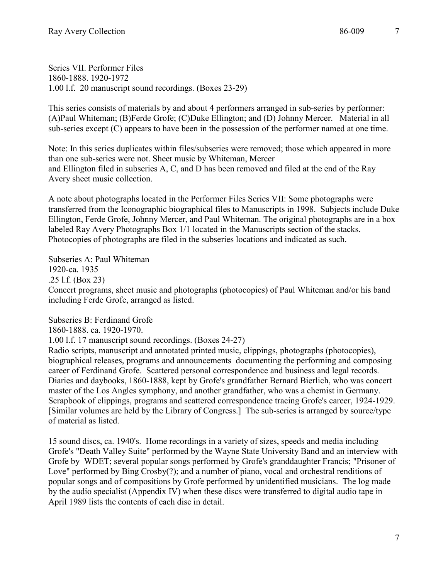Series VII. Performer Files 1860-1888. 1920-1972 1.00 l.f. 20 manuscript sound recordings. (Boxes 23-29)

This series consists of materials by and about 4 performers arranged in sub-series by performer: (A)Paul Whiteman; (B)Ferde Grofe; (C)Duke Ellington; and (D) Johnny Mercer. Material in all sub-series except (C) appears to have been in the possession of the performer named at one time.

Note: In this series duplicates within files/subseries were removed; those which appeared in more than one sub-series were not. Sheet music by Whiteman, Mercer and Ellington filed in subseries A, C, and D has been removed and filed at the end of the Ray Avery sheet music collection.

A note about photographs located in the Performer Files Series VII: Some photographs were transferred from the Iconographic biographical files to Manuscripts in 1998. Subjects include Duke Ellington, Ferde Grofe, Johnny Mercer, and Paul Whiteman. The original photographs are in a box labeled Ray Avery Photographs Box 1/1 located in the Manuscripts section of the stacks. Photocopies of photographs are filed in the subseries locations and indicated as such.

Subseries A: Paul Whiteman 1920-ca. 1935 .25 l.f. (Box 23) Concert programs, sheet music and photographs (photocopies) of Paul Whiteman and/or his band including Ferde Grofe, arranged as listed.

Subseries B: Ferdinand Grofe 1860-1888. ca. 1920-1970. 1.00 l.f. 17 manuscript sound recordings. (Boxes 24-27) Radio scripts, manuscript and annotated printed music, clippings, photographs (photocopies), biographical releases, programs and announcements documenting the performing and composing career of Ferdinand Grofe. Scattered personal correspondence and business and legal records. Diaries and daybooks, 1860-1888, kept by Grofe's grandfather Bernard Bierlich, who was concert master of the Los Angles symphony, and another grandfather, who was a chemist in Germany. Scrapbook of clippings, programs and scattered correspondence tracing Grofe's career, 1924-1929. [Similar volumes are held by the Library of Congress.] The sub-series is arranged by source/type of material as listed.

15 sound discs, ca. 1940's. Home recordings in a variety of sizes, speeds and media including Grofe's "Death Valley Suite" performed by the Wayne State University Band and an interview with Grofe by WDET; several popular songs performed by Grofe's granddaughter Francis; "Prisoner of Love" performed by Bing Crosby(?); and a number of piano, vocal and orchestral renditions of popular songs and of compositions by Grofe performed by unidentified musicians. The log made by the audio specialist (Appendix IV) when these discs were transferred to digital audio tape in April 1989 lists the contents of each disc in detail.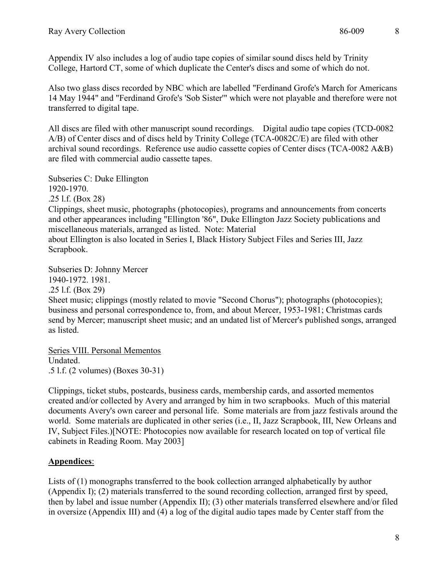Appendix IV also includes a log of audio tape copies of similar sound discs held by Trinity College, Hartord CT, some of which duplicate the Center's discs and some of which do not.

Also two glass discs recorded by NBC which are labelled "Ferdinand Grofe's March for Americans 14 May 1944" and "Ferdinand Grofe's 'Sob Sister'" which were not playable and therefore were not transferred to digital tape.

All discs are filed with other manuscript sound recordings. Digital audio tape copies (TCD-0082) A/B) of Center discs and of discs held by Trinity College (TCA-0082C/E) are filed with other archival sound recordings. Reference use audio cassette copies of Center discs (TCA-0082 A&B) are filed with commercial audio cassette tapes.

Subseries C: Duke Ellington 1920-1970. .25 l.f. (Box 28)

Clippings, sheet music, photographs (photocopies), programs and announcements from concerts and other appearances including "Ellington '86", Duke Ellington Jazz Society publications and miscellaneous materials, arranged as listed. Note: Material about Ellington is also located in Series I, Black History Subject Files and Series III, Jazz Scrapbook.

Subseries D: Johnny Mercer 1940-1972. 1981. .25 l.f. (Box 29) Sheet music; clippings (mostly related to movie "Second Chorus"); photographs (photocopies); business and personal correspondence to, from, and about Mercer, 1953-1981; Christmas cards send by Mercer; manuscript sheet music; and an undated list of Mercer's published songs, arranged as listed.

Series VIII. Personal Mementos Undated. .5 l.f. (2 volumes) (Boxes 30-31)

Clippings, ticket stubs, postcards, business cards, membership cards, and assorted mementos created and/or collected by Avery and arranged by him in two scrapbooks. Much of this material documents Avery's own career and personal life. Some materials are from jazz festivals around the world. Some materials are duplicated in other series (i.e., II, Jazz Scrapbook, III, New Orleans and IV, Subject Files.)[NOTE: Photocopies now available for research located on top of vertical file cabinets in Reading Room. May 2003]

# **Appendices**:

Lists of (1) monographs transferred to the book collection arranged alphabetically by author (Appendix I); (2) materials transferred to the sound recording collection, arranged first by speed, then by label and issue number (Appendix II); (3) other materials transferred elsewhere and/or filed in oversize (Appendix III) and (4) a log of the digital audio tapes made by Center staff from the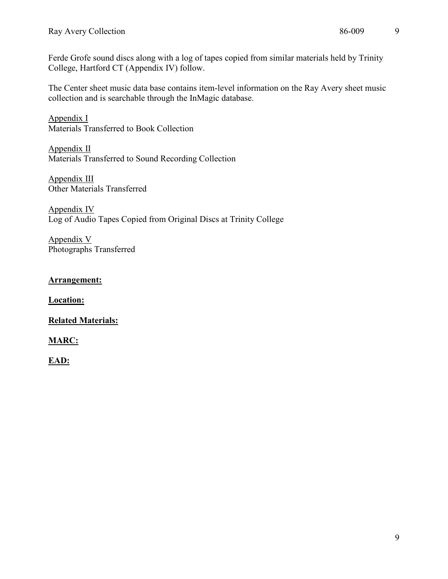Ferde Grofe sound discs along with a log of tapes copied from similar materials held by Trinity College, Hartford CT (Appendix IV) follow.

The Center sheet music data base contains item-level information on the Ray Avery sheet music collection and is searchable through the InMagic database.

Appendix I Materials Transferred to Book Collection

Appendix II Materials Transferred to Sound Recording Collection

Appendix III Other Materials Transferred

Appendix IV Log of Audio Tapes Copied from Original Discs at Trinity College

Appendix V Photographs Transferred

### **Arrangement:**

**Location:**

# **Related Materials:**

# **MARC:**

**EAD:**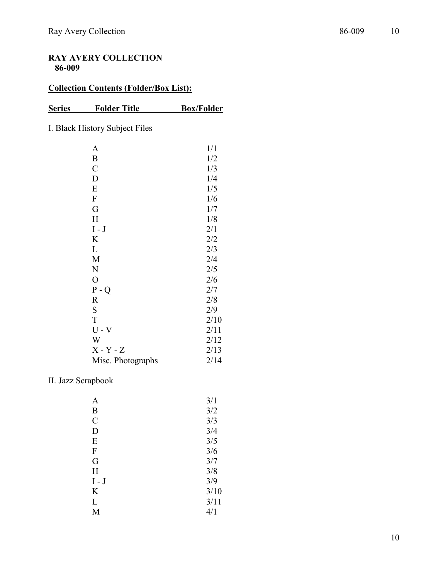# **RAY AVERY COLLECTION 86-009**

# **Collection Contents (Folder/Box List):**

# **Series Folder Title Box/Folder**

I. Black History Subject Files

| A                 | 1/1  |
|-------------------|------|
| $\boldsymbol{B}$  | 1/2  |
| $\mathcal{C}$     | 1/3  |
| D                 | 1/4  |
| ${\bf E}$         | 1/5  |
| $\boldsymbol{F}$  | 1/6  |
| G                 | 1/7  |
| H                 | 1/8  |
| $I - J$           | 2/1  |
| K                 | 2/2  |
| L                 | 2/3  |
| M                 | 2/4  |
| N                 | 2/5  |
| $\overline{O}$    | 2/6  |
| $P - Q$           | 2/7  |
| $\mathbf R$       | 2/8  |
| ${\bf S}$         | 2/9  |
| T                 | 2/10 |
| $U - V$           | 2/11 |
| W                 | 2/12 |
| $X - Y - Z$       | 2/13 |
| Misc. Photographs | 2/14 |

# II. Jazz Scrapbook

| 3/1  |
|------|
| 3/2  |
| 3/3  |
| 3/4  |
| 3/5  |
| 3/6  |
| 3/7  |
| 3/8  |
| 3/9  |
| 3/10 |
| 3/11 |
| 4/1  |
|      |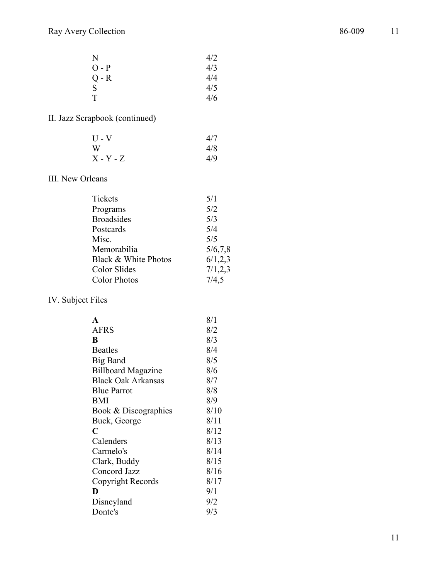| N       | 4/2 |
|---------|-----|
| $O - P$ | 4/3 |
| $Q - R$ | 4/4 |
| S       | 4/5 |
| T       | 4/6 |

# II. Jazz Scrapbook (continued)

| $U - V$     | 4/7 |
|-------------|-----|
| W           | 4/8 |
| $X - Y - Z$ | 4/9 |

# III. New Orleans

| Tickets              | 5/1       |
|----------------------|-----------|
| Programs             | 5/2       |
| <b>Broadsides</b>    | 5/3       |
| Postcards            | 5/4       |
| Misc.                | 5/5       |
| Memorabilia          | 5/6, 7, 8 |
| Black & White Photos | 6/1, 2, 3 |
| Color Slides         | 7/1, 2, 3 |
| <b>Color Photos</b>  | 7/4,5     |
|                      |           |

# IV. Subject Files

| A                         | 8/1  |
|---------------------------|------|
| <b>AFRS</b>               | 8/2  |
| B                         | 8/3  |
| Beatles                   | 8/4  |
| <b>Big Band</b>           | 8/5  |
| <b>Billboard Magazine</b> | 8/6  |
| <b>Black Oak Arkansas</b> | 8/7  |
| <b>Blue Parrot</b>        | 8/8  |
| BMI                       | 8/9  |
| Book & Discographies      | 8/10 |
| Buck, George              | 8/11 |
| C                         | 8/12 |
| Calenders                 | 8/13 |
| Carmelo's                 | 8/14 |
| Clark, Buddy              | 8/15 |
| Concord Jazz              | 8/16 |
| Copyright Records         | 8/17 |
| D                         | 9/1  |
| Disneyland                | 9/2  |
| Donte's                   | 9/3  |
|                           |      |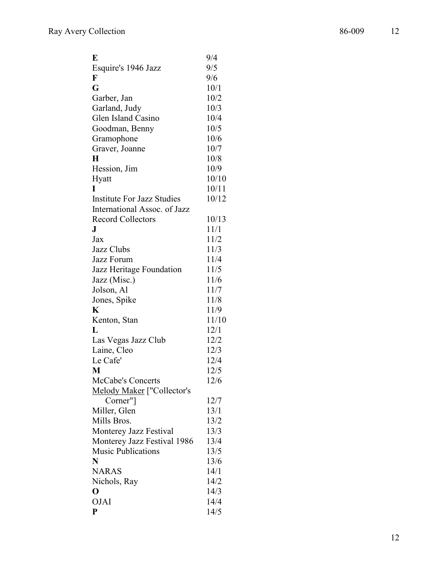| E                                 | 9/4   |
|-----------------------------------|-------|
| Esquire's 1946 Jazz               | 9/5   |
| F                                 | 9/6   |
| G                                 | 10/1  |
| Garber, Jan                       | 10/2  |
| Garland, Judy                     | 10/3  |
| Glen Island Casino                | 10/4  |
| Goodman, Benny                    | 10/5  |
| Gramophone                        | 10/6  |
| Graver, Joanne                    | 10/7  |
| H                                 | 10/8  |
| Hession, Jim                      | 10/9  |
| Hyatt                             | 10/10 |
| I                                 | 10/11 |
| <b>Institute For Jazz Studies</b> | 10/12 |
| International Assoc. of Jazz      |       |
| <b>Record Collectors</b>          | 10/13 |
| J                                 | 11/1  |
| Jax                               | 11/2  |
| Jazz Clubs                        | 11/3  |
| Jazz Forum                        | 11/4  |
| Jazz Heritage Foundation          | 11/5  |
| Jazz (Misc.)                      | 11/6  |
| Jolson, Al                        | 11/7  |
| Jones, Spike                      | 11/8  |
| K                                 | 11/9  |
| Kenton, Stan                      | 11/10 |
| L                                 | 12/1  |
| Las Vegas Jazz Club               | 12/2  |
| Laine, Cleo                       | 12/3  |
| Le Cafe'                          | 12/4  |
| M                                 | 12/5  |
| McCabe's Concerts                 | 12/6  |
| Melody Maker ["Collector's        |       |
| Corner"]                          | 12/7  |
| Miller, Glen                      | 13/1  |
| Mills Bros.                       | 13/2  |
| Monterey Jazz Festival            | 13/3  |
| Monterey Jazz Festival 1986       | 13/4  |
| <b>Music Publications</b>         | 13/5  |
| N                                 | 13/6  |
| <b>NARAS</b>                      | 14/1  |
| Nichols, Ray                      | 14/2  |
| $\mathbf{O}$                      | 14/3  |
| <b>OJAI</b>                       | 14/4  |
| P                                 | 14/5  |
|                                   |       |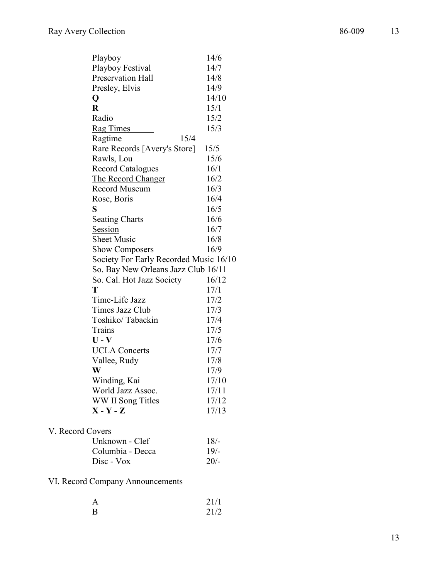| Playboy                                | 14/6  |
|----------------------------------------|-------|
| Playboy Festival                       | 14/7  |
| <b>Preservation Hall</b>               | 14/8  |
| Presley, Elvis                         | 14/9  |
| Q                                      | 14/10 |
| $\bf R$                                | 15/1  |
| Radio                                  | 15/2  |
| <b>Rag Times</b>                       | 15/3  |
| Ragtime<br>15/4                        |       |
| Rare Records [Avery's Store]           | 15/5  |
| Rawls, Lou                             | 15/6  |
| <b>Record Catalogues</b>               | 16/1  |
| The Record Changer                     | 16/2  |
| <b>Record Museum</b>                   | 16/3  |
| Rose, Boris                            | 16/4  |
| S                                      | 16/5  |
| <b>Seating Charts</b>                  | 16/6  |
| Session                                | 16/7  |
| <b>Sheet Music</b>                     | 16/8  |
| <b>Show Composers</b>                  | 16/9  |
| Society For Early Recorded Music 16/10 |       |
| So. Bay New Orleans Jazz Club 16/11    |       |
| So. Cal. Hot Jazz Society              | 16/12 |
| T                                      | 17/1  |
| Time-Life Jazz                         | 17/2  |
| <b>Times Jazz Club</b>                 | 17/3  |
| Toshiko/Tabackin                       | 17/4  |
| Trains                                 | 17/5  |
| $U - V$                                | 17/6  |
| <b>UCLA Concerts</b>                   | 17/7  |
| Vallee, Rudy                           | 17/8  |
| W                                      | 17/9  |
| Winding, Kai                           | 17/10 |
| World Jazz Assoc.                      | 17/11 |
| WW II Song Titles                      | 17/12 |
| $X - Y - Z$                            | 17/13 |
|                                        |       |
|                                        |       |

# V. Record Covers

| Unknown - Clef   | 18/    |
|------------------|--------|
| Columbia - Decca | 19/    |
| $Disc - Vox$     | $20/-$ |

# VI. Record Company Announcements

|   | 21/1 |
|---|------|
| R | 21/2 |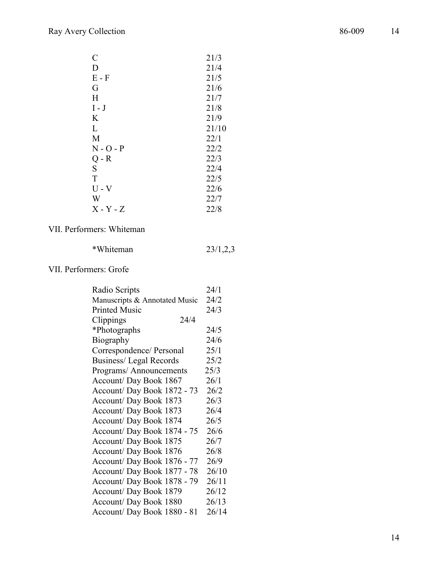| $\mathcal{C}$ | 21/3  |
|---------------|-------|
| D             | 21/4  |
| $E - F$       | 21/5  |
| G             | 21/6  |
| H             | 21/7  |
| $I - J$       | 21/8  |
| K             | 21/9  |
| L             | 21/10 |
| M             | 22/1  |
| $N - O - P$   | 22/2  |
| $Q - R$       | 22/3  |
| ${\bf S}$     | 22/4  |
| T             | 22/5  |
| $U - V$       | 22/6  |
| W             | 22/7  |
| $X - Y - Z$   | 22/8  |

# VII. Performers: Whiteman

| 23/1,2,3 |
|----------|
|          |

# VII. Performers: Grofe

| Radio Scripts                 | 24/1  |
|-------------------------------|-------|
| Manuscripts & Annotated Music | 24/2  |
| <b>Printed Music</b>          | 24/3  |
| 24/4<br>Clippings             |       |
| *Photographs                  | 24/5  |
| Biography                     | 24/6  |
| Correspondence/ Personal      | 25/1  |
| Business/ Legal Records       | 25/2  |
| Programs/Announcements        | 25/3  |
| Account/ Day Book 1867        | 26/1  |
| Account/ Day Book 1872 - 73   | 26/2  |
| Account/ Day Book 1873        | 26/3  |
| Account/ Day Book 1873        | 26/4  |
| Account/ Day Book 1874        | 26/5  |
| Account/ Day Book 1874 - 75   | 26/6  |
| Account/ Day Book 1875        | 26/7  |
| Account/ Day Book 1876        | 26/8  |
| Account/Day Book 1876 - 77    | 26/9  |
| Account/ Day Book 1877 - 78   | 26/10 |
| Account/ Day Book 1878 - 79   | 26/11 |
| Account/ Day Book 1879        | 26/12 |
| Account/ Day Book 1880        | 26/13 |
| Account/Day Book 1880 - 81    | 26/14 |
|                               |       |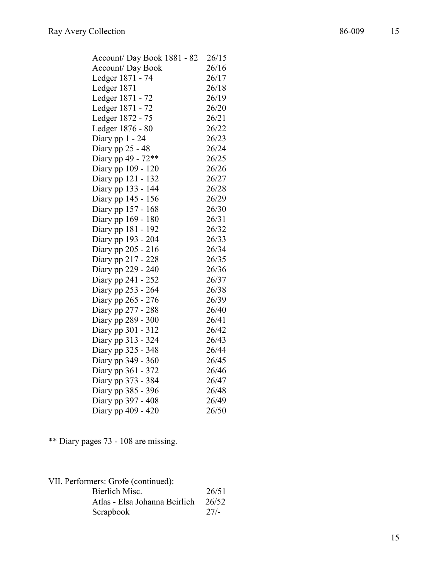| Account/Day Book 1881 - 82 | 26/15 |
|----------------------------|-------|
| Account/ Day Book          | 26/16 |
| Ledger 1871 - 74           | 26/17 |
| Ledger 1871                | 26/18 |
| Ledger 1871 - 72           | 26/19 |
| Ledger 1871 - 72           | 26/20 |
| Ledger 1872 - 75           | 26/21 |
| Ledger 1876 - 80           | 26/22 |
| Diary pp 1 - 24            | 26/23 |
| Diary pp 25 - 48           | 26/24 |
| Diary pp 49 - 72**         | 26/25 |
| Diary pp 109 - 120         | 26/26 |
| Diary pp 121 - 132         | 26/27 |
| Diary pp 133 - 144         | 26/28 |
| Diary pp 145 - 156         | 26/29 |
| Diary pp 157 - 168         | 26/30 |
| Diary pp 169 - 180         | 26/31 |
| Diary pp 181 - 192         | 26/32 |
| Diary pp 193 - 204         | 26/33 |
| Diary pp 205 - 216         | 26/34 |
| Diary pp 217 - 228         | 26/35 |
| Diary pp 229 - 240         | 26/36 |
| Diary pp 241 - 252         | 26/37 |
| Diary pp 253 - 264         | 26/38 |
| Diary pp 265 - 276         | 26/39 |
| Diary pp 277 - 288         | 26/40 |
| Diary pp 289 - 300         | 26/41 |
| Diary pp 301 - 312         | 26/42 |
| Diary pp 313 - 324         | 26/43 |
| Diary pp 325 - 348         | 26/44 |
| Diary pp 349 - 360         | 26/45 |
| Diary pp 361 - 372         | 26/46 |
| Diary pp 373 - 384         | 26/47 |
| Diary pp 385 - 396         | 26/48 |
| Diary pp 397 - 408         | 26/49 |
| Diary pp 409 - 420         | 26/50 |
|                            |       |

\* \* Diary pages 73 - 108 are missing.

| VII. Performers: Grofe (continued): |       |
|-------------------------------------|-------|
| Bierlich Misc.                      | 26/51 |
| Atlas - Elsa Johanna Beirlich       | 26/52 |
| Scrapbook                           | 27/2  |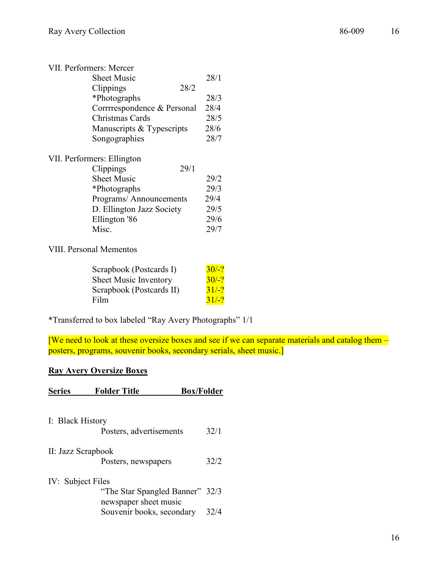| VII. Performers: Mercer     |      |
|-----------------------------|------|
| Sheet Music                 | 28/1 |
| 28/2<br>Clippings           |      |
| *Photographs                | 28/3 |
| Corrrrespondence & Personal | 28/4 |
| Christmas Cards             | 28/5 |
| Manuscripts & Typescripts   | 28/6 |
| Songographies               | 28/7 |
| VII. Performers: Ellington  |      |
| 29/1<br>Clippings           |      |
| <b>Sheet Music</b>          | 29/2 |
| *Photographs                | 29/3 |
| Programs/ Announcements     | 29/4 |
| D. Ellington Jazz Society   | 29/5 |
| Ellington '86               | 29/6 |
| Misc.                       | 29/7 |
|                             |      |

VIII. Personal Mementos

| Scrapbook (Postcards I)  | 30/2  |
|--------------------------|-------|
| Sheet Music Inventory    | 30/2  |
| Scrapbook (Postcards II) | 31/2  |
| Film                     | 31/27 |

\*Transferred to box labeled "Ray Avery Photographs" 1/1

[We need to look at these oversize boxes and see if we can separate materials and catalog them – posters, programs, souvenir books, secondary serials, sheet music.]

### **Ray Avery Oversize Boxes**

| <b>Series</b>      | <b>Folder Title</b>                                | <b>Box/Folder</b> |      |
|--------------------|----------------------------------------------------|-------------------|------|
| I: Black History   |                                                    |                   |      |
|                    | Posters, advertisements                            |                   | 32/1 |
| II: Jazz Scrapbook | Posters, newspapers                                |                   | 32/2 |
| IV: Subject Files  | "The Star Spangled Banner" 32/3                    |                   |      |
|                    | newspaper sheet music<br>Souvenir books, secondary |                   | 32/4 |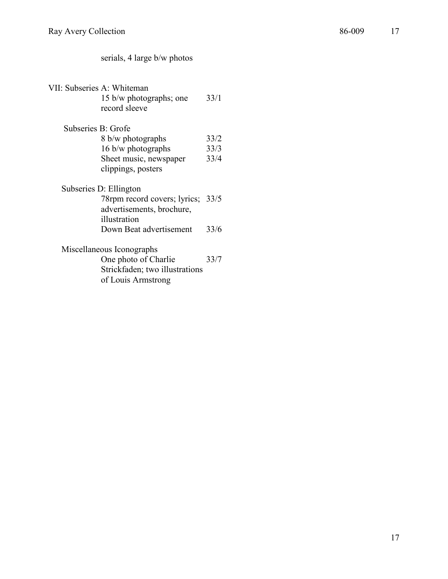# serials, 4 large b/w photos

| VII: Subseries A: Whiteman<br>15 b/w photographs; one<br>record sleeve | 33/1 |
|------------------------------------------------------------------------|------|
| Subseries B: Grofe                                                     |      |
| 8 b/w photographs                                                      | 33/2 |
| 16 b/w photographs                                                     | 33/3 |
| Sheet music, newspaper                                                 | 33/4 |
| clippings, posters                                                     |      |
| Subseries D: Ellington                                                 |      |
| 78rpm record covers; lyrics; 33/5                                      |      |
| advertisements, brochure,                                              |      |
| illustration                                                           |      |
| Down Beat advertisement                                                | 33/6 |
| Miscellaneous Iconographs                                              |      |
| One photo of Charlie                                                   | 33/7 |
| Strickfaden; two illustrations<br>of Louis Armstrong                   |      |
|                                                                        |      |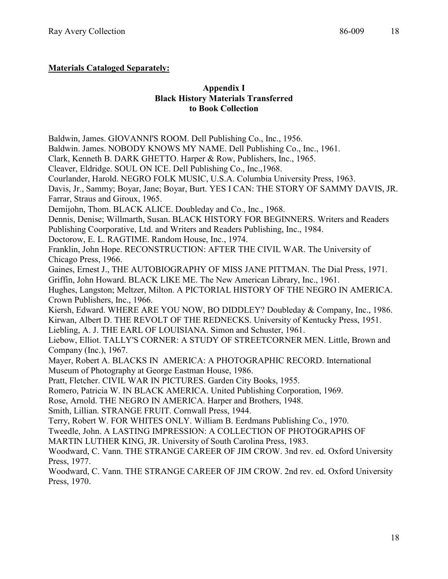# **Materials Cataloged Separately:**

### **Appendix I Black History Materials Transferred to Book Collection**

Baldwin, James. GIOVANNI'S ROOM. Dell Publishing Co., Inc., 1956.

Baldwin. James. NOBODY KNOWS MY NAME. Dell Publishing Co., Inc., 1961.

Clark, Kenneth B. DARK GHETTO. Harper & Row, Publishers, Inc., 1965.

Cleaver, Eldridge. SOUL ON ICE. Dell Publishing Co., Inc.,1968.

Courlander, Harold. NEGRO FOLK MUSIC, U.S.A. Columbia University Press, 1963.

Davis, Jr., Sammy; Boyar, Jane; Boyar, Burt. YES I CAN: THE STORY OF SAMMY DAVIS, JR. Farrar, Straus and Giroux, 1965.

Demijohn, Thom. BLACK ALICE. Doubleday and Co., Inc., 1968.

Dennis, Denise; Willmarth, Susan. BLACK HISTORY FOR BEGINNERS. Writers and Readers Publishing Coorporative, Ltd. and Writers and Readers Publishing, Inc., 1984.

Doctorow, E. L. RAGTIME. Random House, Inc., 1974.

Franklin, John Hope. RECONSTRUCTION: AFTER THE CIVIL WAR. The University of Chicago Press, 1966.

Gaines, Ernest J., THE AUTOBIOGRAPHY OF MISS JANE PITTMAN. The Dial Press, 1971. Griffin, John Howard. BLACK LIKE ME. The New American Library, Inc., 1961.

Hughes, Langston; Meltzer, Milton. A PICTORIAL HISTORY OF THE NEGRO IN AMERICA. Crown Publishers, Inc., 1966.

Kiersh, Edward. WHERE ARE YOU NOW, BO DIDDLEY? Doubleday & Company, Inc., 1986. Kirwan, Albert D. THE REVOLT OF THE REDNECKS. University of Kentucky Press, 1951.

Liebling, A. J. THE EARL OF LOUISIANA. Simon and Schuster, 1961.

Liebow, Elliot. TALLY'S CORNER: A STUDY OF STREETCORNER MEN. Little, Brown and Company (Inc.), 1967.

Mayer, Robert A. BLACKS IN AMERICA: A PHOTOGRAPHIC RECORD. International Museum of Photography at George Eastman House, 1986.

Pratt, Fletcher. CIVIL WAR IN PICTURES. Garden City Books, 1955.

Romero, Patricia W. IN BLACK AMERICA. United Publishing Corporation, 1969.

Rose, Arnold. THE NEGRO IN AMERICA. Harper and Brothers, 1948.

Smith, Lillian. STRANGE FRUIT. Cornwall Press, 1944.

Terry, Robert W. FOR WHITES ONLY. William B. Eerdmans Publishing Co., 1970.

Tweedle, John. A LASTING IMPRESSION: A COLLECTION OF PHOTOGRAPHS OF

MARTIN LUTHER KING, JR. University of South Carolina Press, 1983.

Woodward, C. Vann. THE STRANGE CAREER OF JIM CROW. 3nd rev. ed. Oxford University Press, 1977.

Woodward, C. Vann. THE STRANGE CAREER OF JIM CROW. 2nd rev. ed. Oxford University Press, 1970.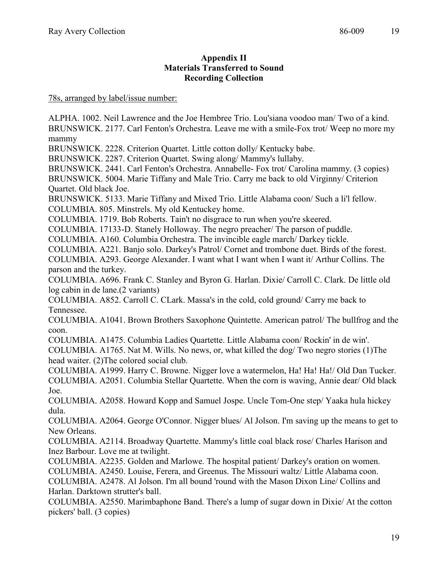### **Appendix II Materials Transferred to Sound Recording Collection**

#### 78s, arranged by label/issue number:

ALPHA. 1002. Neil Lawrence and the Joe Hembree Trio. Lou'siana voodoo man/ Two of a kind. BRUNSWICK. 2177. Carl Fenton's Orchestra. Leave me with a smile-Fox trot/ Weep no more my mammy

BRUNSWICK. 2228. Criterion Quartet. Little cotton dolly/ Kentucky babe.

BRUNSWICK. 2287. Criterion Quartet. Swing along/ Mammy's lullaby.

BRUNSWICK. 2441. Carl Fenton's Orchestra. Annabelle- Fox trot/ Carolina mammy. (3 copies)

BRUNSWICK. 5004. Marie Tiffany and Male Trio. Carry me back to old Virginny/ Criterion Quartet. Old black Joe.

BRUNSWICK. 5133. Marie Tiffany and Mixed Trio. Little Alabama coon/ Such a li'l fellow. COLUMBIA. 805. Minstrels. My old Kentuckey home.

COLUMBIA. 1719. Bob Roberts. Tain't no disgrace to run when you're skeered.

COLUMBIA. 17133-D. Stanely Holloway. The negro preacher/ The parson of puddle.

COLUMBIA. A160. Columbia Orchestra. The invincible eagle march/ Darkey tickle.

COLUMBIA. A221. Banjo solo. Darkey's Patrol/ Cornet and trombone duet. Birds of the forest. COLUMBIA. A293. George Alexander. I want what I want when I want it/ Arthur Collins. The

parson and the turkey.

COLUMBIA. A696. Frank C. Stanley and Byron G. Harlan. Dixie/ Carroll C. Clark. De little old log cabin in de lane.(2 variants)

COLUMBIA. A852. Carroll C. CLark. Massa's in the cold, cold ground/ Carry me back to Tennessee.

COLUMBIA. A1041. Brown Brothers Saxophone Quintette. American patrol/ The bullfrog and the coon.

COLUMBIA. A1475. Columbia Ladies Quartette. Little Alabama coon/ Rockin' in de win'.

COLUMBIA. A1765. Nat M. Wills. No news, or, what killed the dog/ Two negro stories (1)The head waiter. (2)The colored social club.

COLUMBIA. A1999. Harry C. Browne. Nigger love a watermelon, Ha! Ha! Ha!/ Old Dan Tucker. COLUMBIA. A2051. Columbia Stellar Quartette. When the corn is waving, Annie dear/ Old black Joe.

COLUMBIA. A2058. Howard Kopp and Samuel Jospe. Uncle Tom-One step/ Yaaka hula hickey dula.

COLUMBIA. A2064. George O'Connor. Nigger blues/ Al Jolson. I'm saving up the means to get to New Orleans.

COLUMBIA. A2114. Broadway Quartette. Mammy's little coal black rose/ Charles Harison and Inez Barbour. Love me at twilight.

COLUMBIA. A2235. Golden and Marlowe. The hospital patient/ Darkey's oration on women.

COLUMBIA. A2450. Louise, Ferera, and Greenus. The Missouri waltz/ Little Alabama coon.

COLUMBIA. A2478. Al Jolson. I'm all bound 'round with the Mason Dixon Line/ Collins and Harlan. Darktown strutter's ball.

COLUMBIA. A2550. Marimbaphone Band. There's a lump of sugar down in Dixie/ At the cotton pickers' ball. (3 copies)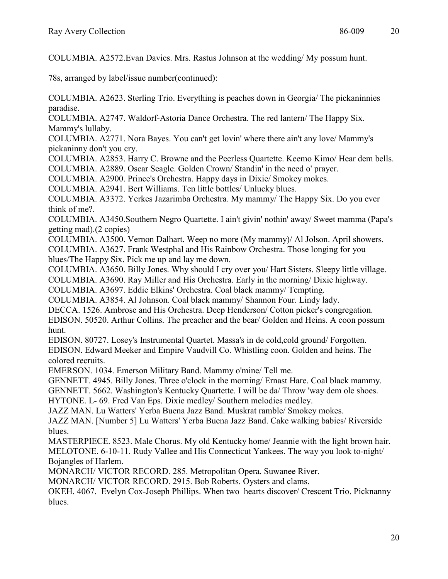COLUMBIA. A2572.Evan Davies. Mrs. Rastus Johnson at the wedding/ My possum hunt.

78s, arranged by label/issue number(continued):

COLUMBIA. A2623. Sterling Trio. Everything is peaches down in Georgia/ The pickaninnies paradise.

COLUMBIA. A2747. Waldorf-Astoria Dance Orchestra. The red lantern/ The Happy Six. Mammy's lullaby.

COLUMBIA. A2771. Nora Bayes. You can't get lovin' where there ain't any love/ Mammy's pickaninny don't you cry.

COLUMBIA. A2853. Harry C. Browne and the Peerless Quartette. Keemo Kimo/ Hear dem bells. COLUMBIA. A2889. Oscar Seagle. Golden Crown/ Standin' in the need o' prayer.

COLUMBIA. A2900. Prince's Orchestra. Happy days in Dixie/ Smokey mokes.

COLUMBIA. A2941. Bert Williams. Ten little bottles/ Unlucky blues.

COLUMBIA. A3372. Yerkes Jazarimba Orchestra. My mammy/ The Happy Six. Do you ever think of me?.

COLUMBIA. A3450.Southern Negro Quartette. I ain't givin' nothin' away/ Sweet mamma (Papa's getting mad).(2 copies)

COLUMBIA. A3500. Vernon Dalhart. Weep no more (My mammy)/ Al Jolson. April showers. COLUMBIA. A3627. Frank Westphal and His Rainbow Orchestra. Those longing for you blues/The Happy Six. Pick me up and lay me down.

COLUMBIA. A3650. Billy Jones. Why should I cry over you/ Hart Sisters. Sleepy little village.

COLUMBIA. A3690. Ray Miller and His Orchestra. Early in the morning/ Dixie highway.

COLUMBIA. A3697. Eddie Elkins' Orchestra. Coal black mammy/ Tempting.

COLUMBIA. A3854. Al Johnson. Coal black mammy/ Shannon Four. Lindy lady.

DECCA. 1526. Ambrose and His Orchestra. Deep Henderson/ Cotton picker's congregation. EDISON. 50520. Arthur Collins. The preacher and the bear/ Golden and Heins. A coon possum hunt.

EDISON. 80727. Losey's Instrumental Quartet. Massa's in de cold,cold ground/ Forgotten.

EDISON. Edward Meeker and Empire Vaudvill Co. Whistling coon. Golden and heins. The colored recruits.

EMERSON. 1034. Emerson Military Band. Mammy o'mine/ Tell me.

GENNETT. 4945. Billy Jones. Three o'clock in the morning/ Ernast Hare. Coal black mammy.

GENNETT. 5662. Washington's Kentucky Quartette. I will be da/ Throw 'way dem ole shoes.

HYTONE. L- 69. Fred Van Eps. Dixie medley/ Southern melodies medley.

JAZZ MAN. Lu Watters' Yerba Buena Jazz Band. Muskrat ramble/ Smokey mokes.

JAZZ MAN. [Number 5] Lu Watters' Yerba Buena Jazz Band. Cake walking babies/ Riverside blues.

MASTERPIECE. 8523. Male Chorus. My old Kentucky home/ Jeannie with the light brown hair. MELOTONE. 6-10-11. Rudy Vallee and His Connecticut Yankees. The way you look to-night/ Bojangles of Harlem.

MONARCH/ VICTOR RECORD. 285. Metropolitan Opera. Suwanee River.

MONARCH/ VICTOR RECORD. 2915. Bob Roberts. Oysters and clams.

OKEH. 4067. Evelyn Cox-Joseph Phillips. When two hearts discover/ Crescent Trio. Picknanny blues.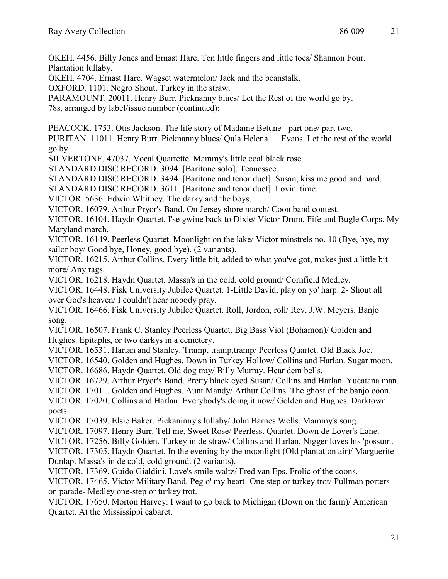OKEH. 4456. Billy Jones and Ernast Hare. Ten little fingers and little toes/ Shannon Four. Plantation lullaby.

OKEH. 4704. Ernast Hare. Wagset watermelon/ Jack and the beanstalk.

OXFORD. 1101. Negro Shout. Turkey in the straw.

PARAMOUNT. 20011. Henry Burr. Picknanny blues/ Let the Rest of the world go by.

78s, arranged by label/issue number (continued):

PEACOCK. 1753. Otis Jackson. The life story of Madame Betune - part one/ part two.

PURITAN. 11011. Henry Burr. Picknanny blues/ Qula Helena Evans. Let the rest of the world go by.

SILVERTONE. 47037. Vocal Quartette. Mammy's little coal black rose.

STANDARD DISC RECORD. 3094. [Baritone solo]. Tennessee.

STANDARD DISC RECORD. 3494. [Baritone and tenor duet]. Susan, kiss me good and hard.

STANDARD DISC RECORD. 3611. [Baritone and tenor duet]. Lovin' time.

VICTOR. 5636. Edwin Whitney. The darky and the boys.

VICTOR. 16079. Arthur Pryor's Band. On Jersey shore march/ Coon band contest.

VICTOR. 16104. Haydn Quartet. I'se gwine back to Dixie/ Victor Drum, Fife and Bugle Corps. My Maryland march.

VICTOR. 16149. Peerless Quartet. Moonlight on the lake/ Victor minstrels no. 10 (Bye, bye, my sailor boy/ Good bye, Honey, good bye). (2 variants).

VICTOR. 16215. Arthur Collins. Every little bit, added to what you've got, makes just a little bit more/ Any rags.

VICTOR. 16218. Haydn Quartet. Massa's in the cold, cold ground/ Cornfield Medley.

VICTOR. 16448. Fisk University Jubilee Quartet. 1-Little David, play on yo' harp. 2- Shout all over God's heaven/ I couldn't hear nobody pray.

VICTOR. 16466. Fisk University Jubilee Quartet. Roll, Jordon, roll/ Rev. J.W. Meyers. Banjo song.

VICTOR. 16507. Frank C. Stanley Peerless Quartet. Big Bass Viol (Bohamon)/ Golden and Hughes. Epitaphs, or two darkys in a cemetery.

VICTOR. 16531. Harlan and Stanley. Tramp, tramp,tramp/ Peerless Quartet. Old Black Joe.

VICTOR. 16540. Golden and Hughes. Down in Turkey Hollow/ Collins and Harlan. Sugar moon.

VICTOR. 16686. Haydn Quartet. Old dog tray/ Billy Murray. Hear dem bells.

VICTOR. 16729. Arthur Pryor's Band. Pretty black eyed Susan/ Collins and Harlan. Yucatana man.

VICTOR. 17011. Golden and Hughes. Aunt Mandy/ Arthur Collins. The ghost of the banjo coon.

VICTOR. 17020. Collins and Harlan. Everybody's doing it now/ Golden and Hughes. Darktown poets.

VICTOR. 17039. Elsie Baker. Pickaninny's lullaby/ John Barnes Wells. Mammy's song.

VICTOR. 17097. Henry Burr. Tell me, Sweet Rose/ Peerless. Quartet. Down de Lover's Lane.

VICTOR. 17256. Billy Golden. Turkey in de straw/ Collins and Harlan. Nigger loves his 'possum.

VICTOR. 17305. Haydn Quartet. In the evening by the moonlight (Old plantation air)/ Marguerite Dunlap. Massa's in de cold, cold ground. (2 variants).

VICTOR. 17369. Guido Gialdini. Love's smile waltz/ Fred van Eps. Frolic of the coons.

VICTOR. 17465. Victor Military Band. Peg o' my heart- One step or turkey trot/ Pullman porters on parade- Medley one-step or turkey trot.

VICTOR. 17650. Morton Harvey. I want to go back to Michigan (Down on the farm)/ American Quartet. At the Mississippi cabaret.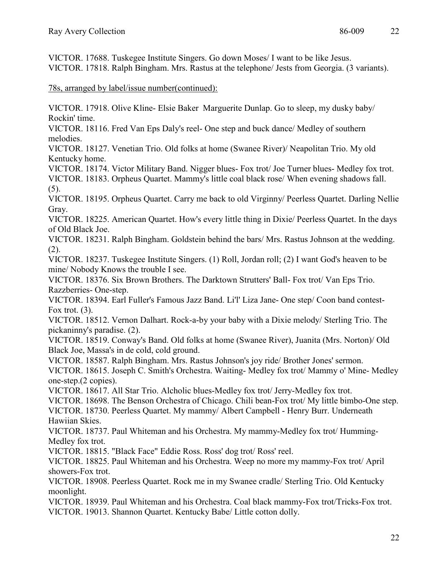VICTOR. 17688. Tuskegee Institute Singers. Go down Moses/ I want to be like Jesus. VICTOR. 17818. Ralph Bingham. Mrs. Rastus at the telephone/ Jests from Georgia. (3 variants).

78s, arranged by label/issue number(continued):

VICTOR. 17918. Olive Kline- Elsie Baker Marguerite Dunlap. Go to sleep, my dusky baby/ Rockin' time.

VICTOR. 18116. Fred Van Eps Daly's reel- One step and buck dance/ Medley of southern melodies.

VICTOR. 18127. Venetian Trio. Old folks at home (Swanee River)/ Neapolitan Trio. My old Kentucky home.

VICTOR. 18174. Victor Military Band. Nigger blues- Fox trot/ Joe Turner blues- Medley fox trot.

VICTOR. 18183. Orpheus Quartet. Mammy's little coal black rose/ When evening shadows fall. (5).

VICTOR. 18195. Orpheus Quartet. Carry me back to old Virginny/ Peerless Quartet. Darling Nellie Gray.

VICTOR. 18225. American Quartet. How's every little thing in Dixie/ Peerless Quartet. In the days of Old Black Joe.

VICTOR. 18231. Ralph Bingham. Goldstein behind the bars/ Mrs. Rastus Johnson at the wedding. (2).

VICTOR. 18237. Tuskegee Institute Singers. (1) Roll, Jordan roll; (2) I want God's heaven to be mine/ Nobody Knows the trouble I see.

VICTOR. 18376. Six Brown Brothers. The Darktown Strutters' Ball- Fox trot/ Van Eps Trio. Razzberries- One-step.

VICTOR. 18394. Earl Fuller's Famous Jazz Band. Li'l' Liza Jane- One step/ Coon band contest-Fox trot.  $(3)$ .

VICTOR. 18512. Vernon Dalhart. Rock-a-by your baby with a Dixie melody/ Sterling Trio. The pickaninny's paradise. (2).

VICTOR. 18519. Conway's Band. Old folks at home (Swanee River), Juanita (Mrs. Norton)/ Old Black Joe, Massa's in de cold, cold ground.

VICTOR. 18587. Ralph Bingham. Mrs. Rastus Johnson's joy ride/ Brother Jones' sermon. VICTOR. 18615. Joseph C. Smith's Orchestra. Waiting- Medley fox trot/ Mammy o' Mine- Medley one-step.(2 copies).

VICTOR. 18617. All Star Trio. Alcholic blues-Medley fox trot/ Jerry-Medley fox trot.

VICTOR. 18698. The Benson Orchestra of Chicago. Chili bean-Fox trot/ My little bimbo-One step.

VICTOR. 18730. Peerless Quartet. My mammy/ Albert Campbell - Henry Burr. Underneath Hawiian Skies.

VICTOR. 18737. Paul Whiteman and his Orchestra. My mammy-Medley fox trot/ Humming-Medley fox trot.

VICTOR. 18815. "Black Face" Eddie Ross. Ross' dog trot/ Ross' reel.

VICTOR. 18825. Paul Whiteman and his Orchestra. Weep no more my mammy-Fox trot/ April showers-Fox trot.

VICTOR. 18908. Peerless Quartet. Rock me in my Swanee cradle/ Sterling Trio. Old Kentucky moonlight.

VICTOR. 18939. Paul Whiteman and his Orchestra. Coal black mammy-Fox trot/Tricks-Fox trot. VICTOR. 19013. Shannon Quartet. Kentucky Babe/ Little cotton dolly.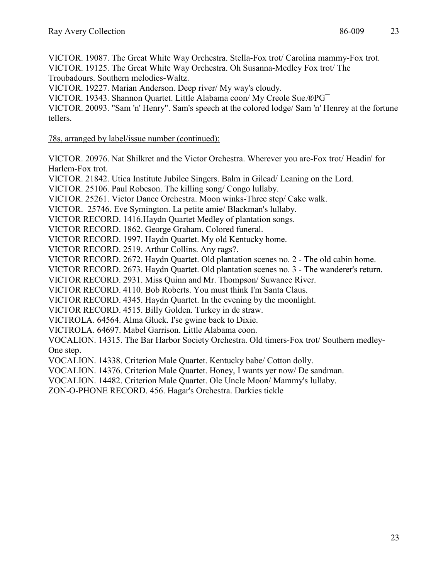VICTOR. 19087. The Great White Way Orchestra. Stella-Fox trot/ Carolina mammy-Fox trot.

VICTOR. 19125. The Great White Way Orchestra. Oh Susanna-Medley Fox trot/ The Troubadours. Southern melodies-Waltz.

VICTOR. 19227. Marian Anderson. Deep river/ My way's cloudy.

VICTOR. 19343. Shannon Quartet. Little Alabama coon/ My Creole Sue.®PG¯

VICTOR. 20093. "Sam 'n' Henry". Sam's speech at the colored lodge/ Sam 'n' Henrey at the fortune tellers.

78s, arranged by label/issue number (continued):

VICTOR. 20976. Nat Shilkret and the Victor Orchestra. Wherever you are-Fox trot/ Headin' for Harlem-Fox trot.

VICTOR. 21842. Utica Institute Jubilee Singers. Balm in Gilead/ Leaning on the Lord.

VICTOR. 25106. Paul Robeson. The killing song/ Congo lullaby.

VICTOR. 25261. Victor Dance Orchestra. Moon winks-Three step/ Cake walk.

VICTOR. 25746. Eve Symington. La petite amie/ Blackman's lullaby.

VICTOR RECORD. 1416.Haydn Quartet Medley of plantation songs.

VICTOR RECORD. 1862. George Graham. Colored funeral.

VICTOR RECORD. 1997. Haydn Quartet. My old Kentucky home.

VICTOR RECORD. 2519. Arthur Collins. Any rags?.

VICTOR RECORD. 2672. Haydn Quartet. Old plantation scenes no. 2 - The old cabin home.

VICTOR RECORD. 2673. Haydn Quartet. Old plantation scenes no. 3 - The wanderer's return.

VICTOR RECORD. 2931. Miss Quinn and Mr. Thompson/ Suwanee River.

VICTOR RECORD. 4110. Bob Roberts. You must think I'm Santa Claus.

VICTOR RECORD. 4345. Haydn Quartet. In the evening by the moonlight.

VICTOR RECORD. 4515. Billy Golden. Turkey in de straw.

VICTROLA. 64564. Alma Gluck. I'se gwine back to Dixie.

VICTROLA. 64697. Mabel Garrison. Little Alabama coon.

VOCALION. 14315. The Bar Harbor Society Orchestra. Old timers-Fox trot/ Southern medley-One step.

VOCALION. 14338. Criterion Male Quartet. Kentucky babe/ Cotton dolly.

VOCALION. 14376. Criterion Male Quartet. Honey, I wants yer now/ De sandman.

VOCALION. 14482. Criterion Male Quartet. Ole Uncle Moon/ Mammy's lullaby.

ZON-O-PHONE RECORD. 456. Hagar's Orchestra. Darkies tickle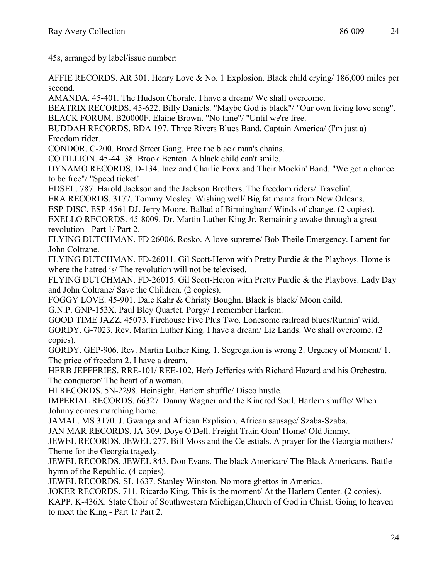45s, arranged by label/issue number:

AFFIE RECORDS. AR 301. Henry Love & No. 1 Explosion. Black child crying/ 186,000 miles per second.

AMANDA. 45-401. The Hudson Chorale. I have a dream/ We shall overcome.

BEATRIX RECORDS. 45-622. Billy Daniels. "Maybe God is black"/ "Our own living love song". BLACK FORUM. B20000F. Elaine Brown. "No time"/ "Until we're free.

BUDDAH RECORDS. BDA 197. Three Rivers Blues Band. Captain America/ (I'm just a) Freedom rider.

CONDOR. C-200. Broad Street Gang. Free the black man's chains.

COTILLION. 45-44138. Brook Benton. A black child can't smile.

DYNAMO RECORDS. D-134. Inez and Charlie Foxx and Their Mockin' Band. "We got a chance to be free"/ "Speed ticket".

EDSEL. 787. Harold Jackson and the Jackson Brothers. The freedom riders/ Travelin'.

ERA RECORDS. 3177. Tommy Mosley. Wishing well/ Big fat mama from New Orleans.

ESP-DISC. ESP-4561 DJ. Jerry Moore. Ballad of Birmingham/ Winds of change. (2 copies).

EXELLO RECORDS. 45-8009. Dr. Martin Luther King Jr. Remaining awake through a great revolution - Part 1/ Part 2.

FLYING DUTCHMAN. FD 26006. Rosko. A love supreme/ Bob Theile Emergency. Lament for John Coltrane.

FLYING DUTCHMAN. FD-26011. Gil Scott-Heron with Pretty Purdie & the Playboys. Home is where the hatred is/ The revolution will not be televised.

FLYING DUTCHMAN. FD-26015. Gil Scott-Heron with Pretty Purdie & the Playboys. Lady Day and John Coltrane/ Save the Children. (2 copies).

FOGGY LOVE. 45-901. Dale Kahr & Christy Boughn. Black is black/ Moon child.

G.N.P. GNP-153X. Paul Bley Quartet. Porgy/ I remember Harlem.

GOOD TIME JAZZ. 45073. Firehouse Five Plus Two. Lonesome railroad blues/Runnin' wild. GORDY. G-7023. Rev. Martin Luther King. I have a dream/ Liz Lands. We shall overcome. (2 copies).

GORDY. GEP-906. Rev. Martin Luther King. 1. Segregation is wrong 2. Urgency of Moment/ 1. The price of freedom 2. I have a dream.

HERB JEFFERIES. RRE-101/ REE-102. Herb Jefferies with Richard Hazard and his Orchestra. The conqueror/ The heart of a woman.

HI RECORDS. 5N-2298. Heinsight. Harlem shuffle/ Disco hustle.

IMPERIAL RECORDS. 66327. Danny Wagner and the Kindred Soul. Harlem shuffle/ When Johnny comes marching home.

JAMAL. MS 3170. J. Gwanga and African Explision. African sausage/ Szaba-Szaba.

JAN MAR RECORDS. JA-309. Doye O'Dell. Freight Train Goin' Home/ Old Jimmy.

JEWEL RECORDS. JEWEL 277. Bill Moss and the Celestials. A prayer for the Georgia mothers/ Theme for the Georgia tragedy.

JEWEL RECORDS. JEWEL 843. Don Evans. The black American/ The Black Americans. Battle hymn of the Republic. (4 copies).

JEWEL RECORDS. SL 1637. Stanley Winston. No more ghettos in America.

JOKER RECORDS. 711. Ricardo King. This is the moment/ At the Harlem Center. (2 copies).

KAPP. K-436X. State Choir of Southwestern Michigan,Church of God in Christ. Going to heaven to meet the King - Part 1/ Part 2.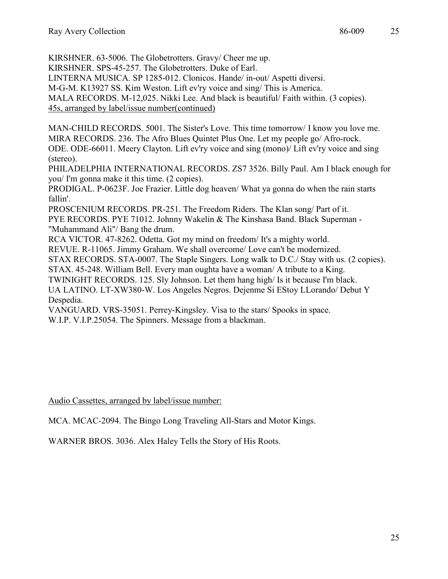KIRSHNER. 63-5006. The Globetrotters. Gravy/ Cheer me up.

KIRSHNER. SPS-45-257. The Globetrotters. Duke of Earl.

LINTERNA MUSICA. SP 1285-012. Clonicos. Hande/ in-out/ Aspetti diversi.

M-G-M. K13927 SS. Kim Weston. Lift ev'ry voice and sing/ This is America.

MALA RECORDS. M-12,025. Nikki Lee. And black is beautiful/ Faith within. (3 copies).

45s, arranged by label/issue number(continued)

MAN-CHILD RECORDS. 5001. The Sister's Love. This time tomorrow/ I know you love me. MIRA RECORDS. 236. The Afro Blues Quintet Plus One. Let my people go/ Afro-rock. ODE. ODE-66011. Meery Clayton. Lift ev'ry voice and sing (mono)/ Lift ev'ry voice and sing (stereo).

PHILADELPHIA INTERNATIONAL RECORDS. ZS7 3526. Billy Paul. Am I black enough for you/ I'm gonna make it this time. (2 copies).

PRODIGAL. P-0623F. Joe Frazier. Little dog heaven/ What ya gonna do when the rain starts fallin'.

PROSCENIUM RECORDS. PR-251. The Freedom Riders. The Klan song/ Part of it. PYE RECORDS. PYE 71012. Johnny Wakelin & The Kinshasa Band. Black Superman - "Muhammand Ali"/ Bang the drum.

RCA VICTOR. 47-8262. Odetta. Got my mind on freedom/ It's a mighty world.

REVUE. R-11065. Jimmy Graham. We shall overcome/ Love can't be modernized.

STAX RECORDS. STA-0007. The Staple Singers. Long walk to D.C./ Stay with us. (2 copies).

STAX. 45-248. William Bell. Every man oughta have a woman/ A tribute to a King.

TWINIGHT RECORDS. 125. Sly Johnson. Let them hang high/ Is it because I'm black.

UA LATINO. LT-XW380-W. Los Angeles Negros. Dejenme Si EStoy LLorando/ Debut Y Despedia.

VANGUARD. VRS-35051. Perrey-Kingsley. Visa to the stars/ Spooks in space. W.I.P. V.I.P.25054. The Spinners. Message from a blackman.

Audio Cassettes, arranged by label/issue number:

MCA. MCAC-2094. The Bingo Long Traveling All-Stars and Motor Kings.

WARNER BROS. 3036. Alex Haley Tells the Story of His Roots.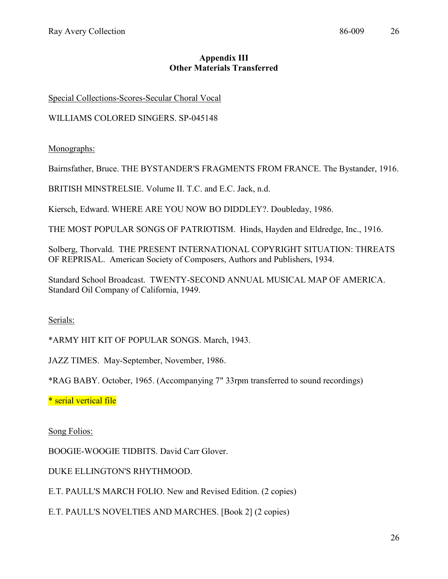# **Appendix III Other Materials Transferred**

Special Collections-Scores-Secular Choral Vocal

WILLIAMS COLORED SINGERS. SP-045148

Monographs:

Bairnsfather, Bruce. THE BYSTANDER'S FRAGMENTS FROM FRANCE. The Bystander, 1916.

BRITISH MINSTRELSIE. Volume II. T.C. and E.C. Jack, n.d.

Kiersch, Edward. WHERE ARE YOU NOW BO DIDDLEY?. Doubleday, 1986.

THE MOST POPULAR SONGS OF PATRIOTISM. Hinds, Hayden and Eldredge, Inc., 1916.

Solberg, Thorvald. THE PRESENT INTERNATIONAL COPYRIGHT SITUATION: THREATS OF REPRISAL. American Society of Composers, Authors and Publishers, 1934.

Standard School Broadcast. TWENTY-SECOND ANNUAL MUSICAL MAP OF AMERICA. Standard Oil Company of California, 1949.

Serials:

\*ARMY HIT KIT OF POPULAR SONGS. March, 1943.

JAZZ TIMES. May-September, November, 1986.

\*RAG BABY. October, 1965. (Accompanying 7" 33rpm transferred to sound recordings)

\* serial vertical file

Song Folios:

BOOGIE-WOOGIE TIDBITS. David Carr Glover.

DUKE ELLINGTON'S RHYTHMOOD.

E.T. PAULL'S MARCH FOLIO. New and Revised Edition. (2 copies)

E.T. PAULL'S NOVELTIES AND MARCHES. [Book 2] (2 copies)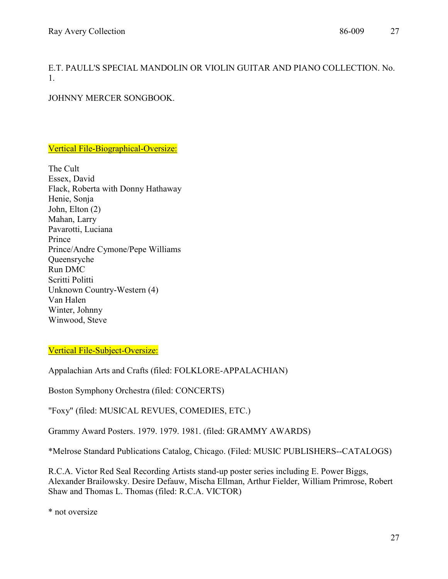E.T. PAULL'S SPECIAL MANDOLIN OR VIOLIN GUITAR AND PIANO COLLECTION. No. 1.

JOHNNY MERCER SONGBOOK.

Vertical File-Biographical-Oversize:

The Cult Essex, David Flack, Roberta with Donny Hathaway Henie, Sonja John, Elton (2) Mahan, Larry Pavarotti, Luciana Prince Prince/Andre Cymone/Pepe Williams Queensryche Run DMC Scritti Politti Unknown Country-Western (4) Van Halen Winter, Johnny Winwood, Steve

Vertical File-Subject-Oversize:

Appalachian Arts and Crafts (filed: FOLKLORE-APPALACHIAN)

Boston Symphony Orchestra (filed: CONCERTS)

"Foxy" (filed: MUSICAL REVUES, COMEDIES, ETC.)

Grammy Award Posters. 1979. 1979. 1981. (filed: GRAMMY AWARDS)

\*Melrose Standard Publications Catalog, Chicago. (Filed: MUSIC PUBLISHERS--CATALOGS)

R.C.A. Victor Red Seal Recording Artists stand-up poster series including E. Power Biggs, Alexander Brailowsky. Desire Defauw, Mischa Ellman, Arthur Fielder, William Primrose, Robert Shaw and Thomas L. Thomas (filed: R.C.A. VICTOR)

\* not oversize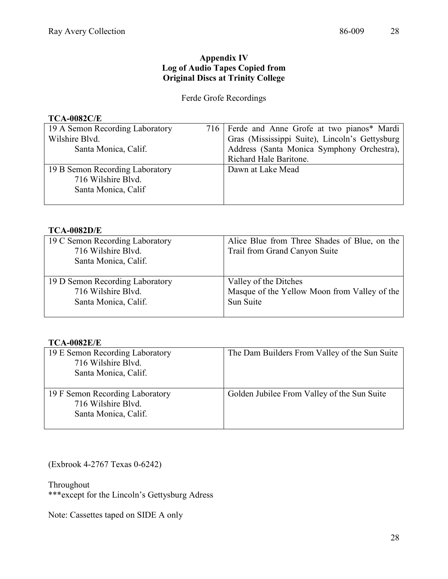## **Appendix IV Log of Audio Tapes Copied from Original Discs at Trinity College**

# Ferde Grofe Recordings

#### **TCA-0082C/E**

| 19 A Semon Recording Laboratory | 716   Ferde and Anne Grofe at two pianos* Mardi |
|---------------------------------|-------------------------------------------------|
| Wilshire Blvd.                  | Gras (Mississippi Suite), Lincoln's Gettysburg  |
| Santa Monica, Calif.            | Address (Santa Monica Symphony Orchestra),      |
|                                 | Richard Hale Baritone.                          |
| 19 B Semon Recording Laboratory | Dawn at Lake Mead                               |
| 716 Wilshire Blvd.              |                                                 |
| Santa Monica, Calif             |                                                 |
|                                 |                                                 |

#### **TCA-0082D/E**

| 19 C Semon Recording Laboratory<br>716 Wilshire Blvd.<br>Santa Monica, Calif. | Alice Blue from Three Shades of Blue, on the<br>Trail from Grand Canyon Suite |
|-------------------------------------------------------------------------------|-------------------------------------------------------------------------------|
| 19 D Semon Recording Laboratory                                               | Valley of the Ditches                                                         |
| 716 Wilshire Blvd.                                                            | Masque of the Yellow Moon from Valley of the                                  |
| Santa Monica, Calif.                                                          | Sun Suite                                                                     |

#### **TCA-0082E/E**

| 19 E Semon Recording Laboratory<br>716 Wilshire Blyd.<br>Santa Monica, Calif. | The Dam Builders From Valley of the Sun Suite |
|-------------------------------------------------------------------------------|-----------------------------------------------|
| 19 F Semon Recording Laboratory<br>716 Wilshire Blvd.<br>Santa Monica, Calif. | Golden Jubilee From Valley of the Sun Suite   |

(Exbrook 4-2767 Texas 0-6242)

Throughout

\*\*\*except for the Lincoln's Gettysburg Adress

Note: Cassettes taped on SIDE A only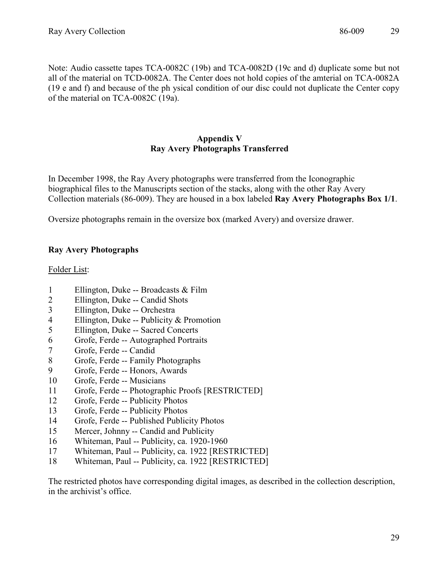Note: Audio cassette tapes TCA-0082C (19b) and TCA-0082D (19c and d) duplicate some but not all of the material on TCD-0082A. The Center does not hold copies of the amterial on TCA-0082A (19 e and f) and because of the ph ysical condition of our disc could not duplicate the Center copy of the material on TCA-0082C (19a).

### **Appendix V Ray Avery Photographs Transferred**

In December 1998, the Ray Avery photographs were transferred from the Iconographic biographical files to the Manuscripts section of the stacks, along with the other Ray Avery Collection materials (86-009). They are housed in a box labeled **Ray Avery Photographs Box 1/1**.

Oversize photographs remain in the oversize box (marked Avery) and oversize drawer.

### **Ray Avery Photographs**

#### Folder List:

- 1 Ellington, Duke -- Broadcasts & Film
- 2 Ellington, Duke -- Candid Shots
- 3 Ellington, Duke -- Orchestra
- 4 Ellington, Duke -- Publicity & Promotion
- 5 Ellington, Duke -- Sacred Concerts
- 6 Grofe, Ferde -- Autographed Portraits
- 7 Grofe, Ferde -- Candid
- 8 Grofe, Ferde -- Family Photographs
- 9 Grofe, Ferde -- Honors, Awards
- 10 Grofe, Ferde -- Musicians
- 11 Grofe, Ferde -- Photographic Proofs [RESTRICTED]
- 12 Grofe, Ferde -- Publicity Photos
- 13 Grofe, Ferde -- Publicity Photos
- 14 Grofe, Ferde -- Published Publicity Photos
- 15 Mercer, Johnny -- Candid and Publicity
- 16 Whiteman, Paul -- Publicity, ca. 1920-1960
- 17 Whiteman, Paul -- Publicity, ca. 1922 [RESTRICTED]
- 18 Whiteman, Paul -- Publicity, ca. 1922 [RESTRICTED]

The restricted photos have corresponding digital images, as described in the collection description, in the archivist's office.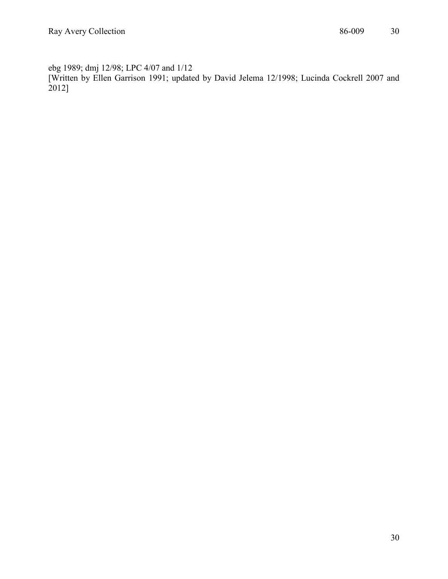ebg 1989; dmj 12/98; LPC 4/07 and 1/12 [Written by Ellen Garrison 1991; updated by David Jelema 12/1998; Lucinda Cockrell 2007 and 2012]